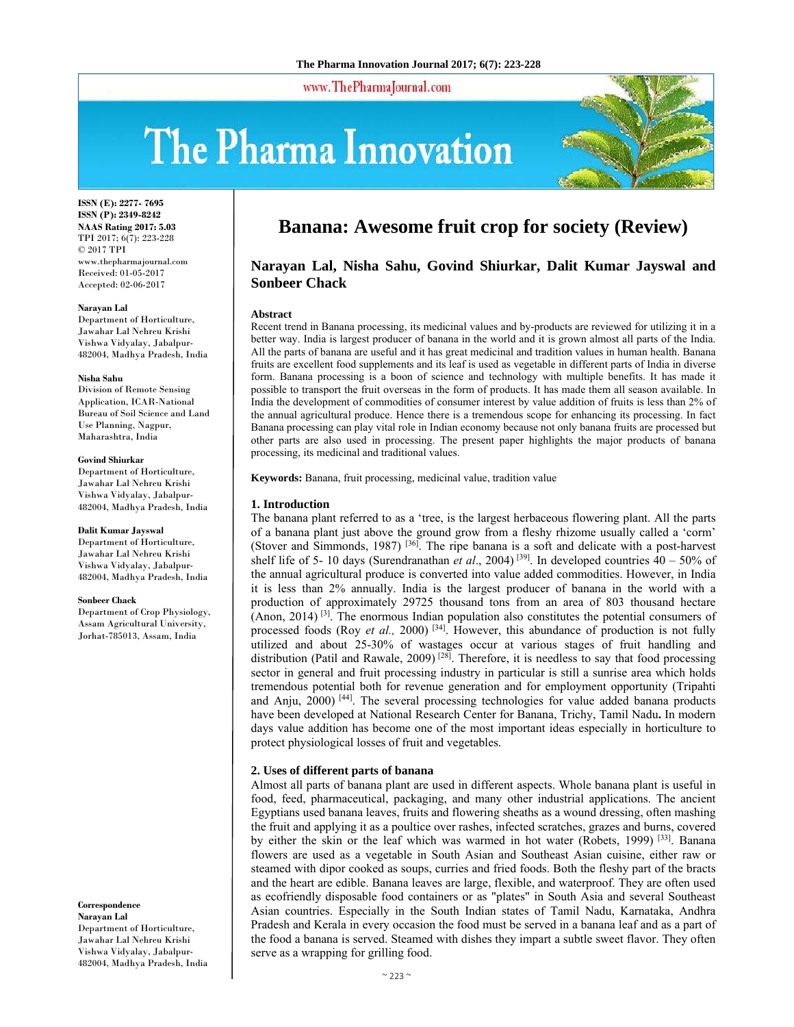www.ThePharmaJournal.com

# The Pharma Innovation



**ISSN (E): 2277- 7695 ISSN (P): 2349-8242 NAAS Rating 2017: 5.03** TPI 2017; 6(7): 223-228 © 2017 TPI www.thepharmajournal.com Received: 01-05-2017 Accepted: 02-06-2017

#### **Narayan Lal**

Department of Horticulture, Jawahar Lal Nehreu Krishi Vishwa Vidyalay, Jabalpur-482004, Madhya Pradesh, India

#### **Nisha Sahu**

Division of Remote Sensing Application, ICAR-National Bureau of Soil Science and Land Use Planning, Nagpur, Maharashtra, India

#### **Govind Shiurkar**

Department of Horticulture, Jawahar Lal Nehreu Krishi Vishwa Vidyalay, Jabalpur-482004, Madhya Pradesh, India

#### **Dalit Kumar Jayswal**

Department of Horticulture, Jawahar Lal Nehreu Krishi Vishwa Vidyalay, Jabalpur-482004, Madhya Pradesh, India

#### **Sonbeer Chack**

Department of Crop Physiology, Assam Agricultural University, Jorhat-785013, Assam, India

**Correspondence Narayan Lal** 

Department of Horticulture, Jawahar Lal Nehreu Krishi Vishwa Vidyalay, Jabalpur-482004, Madhya Pradesh, India

## **Banana: Awesome fruit crop for society (Review)**

## **Narayan Lal, Nisha Sahu, Govind Shiurkar, Dalit Kumar Jayswal and Sonbeer Chack**

#### **Abstract**

Recent trend in Banana processing, its medicinal values and by-products are reviewed for utilizing it in a better way. India is largest producer of banana in the world and it is grown almost all parts of the India. All the parts of banana are useful and it has great medicinal and tradition values in human health. Banana fruits are excellent food supplements and its leaf is used as vegetable in different parts of India in diverse form. Banana processing is a boon of science and technology with multiple benefits. It has made it possible to transport the fruit overseas in the form of products. It has made them all season available. In India the development of commodities of consumer interest by value addition of fruits is less than 2% of the annual agricultural produce. Hence there is a tremendous scope for enhancing its processing. In fact Banana processing can play vital role in Indian economy because not only banana fruits are processed but other parts are also used in processing. The present paper highlights the major products of banana processing, its medicinal and traditional values.

**Keywords:** Banana, fruit processing, medicinal value, tradition value

## **1. Introduction**

The banana plant referred to as a 'tree, is the largest herbaceous flowering plant. All the parts of a banana plant just above the ground grow from a fleshy rhizome usually called a 'corm' (Stover and Simmonds, 1987) [36]. The ripe banana is a soft and delicate with a post-harvest shelf life of 5- 10 days (Surendranathan *et al*., 2004) [39]. In developed countries 40 – 50% of the annual agricultural produce is converted into value added commodities. However, in India it is less than 2% annually. India is the largest producer of banana in the world with a production of approximately 29725 thousand tons from an area of 803 thousand hectare (Anon, 2014)<sup>[3]</sup>. The enormous Indian population also constitutes the potential consumers of processed foods (Roy *et al.,* 2000) [34]. However, this abundance of production is not fully utilized and about 25-30% of wastages occur at various stages of fruit handling and distribution (Patil and Rawale, 2009)<sup>[28]</sup>. Therefore, it is needless to say that food processing sector in general and fruit processing industry in particular is still a sunrise area which holds tremendous potential both for revenue generation and for employment opportunity (Tripahti and Anju, 2000)<sup>[44]</sup>. The several processing technologies for value added banana products have been developed at National Research Center for Banana, Trichy, Tamil Nadu**.** In modern days value addition has become one of the most important ideas especially in horticulture to protect physiological losses of fruit and vegetables.

#### **2. Uses of different parts of banana**

Almost all parts of banana plant are used in different aspects. Whole banana plant is useful in food, feed, pharmaceutical, packaging, and many other industrial applications. The ancient Egyptians used banana leaves, fruits and flowering sheaths as a wound dressing, often mashing the fruit and applying it as a poultice over rashes, infected scratches, grazes and burns, covered by either the skin or the leaf which was warmed in hot water (Robets, 1999)<sup>[33]</sup>. Banana flowers are used as a vegetable in South Asian and Southeast Asian cuisine, either raw or steamed with dipor cooked as soups, curries and fried foods. Both the fleshy part of the bracts and the heart are edible. Banana leaves are large, flexible, and waterproof. They are often used as ecofriendly disposable food containers or as "plates" in South Asia and several Southeast Asian countries. Especially in the South Indian states of Tamil Nadu, Karnataka, Andhra Pradesh and Kerala in every occasion the food must be served in a banana leaf and as a part of the food a banana is served. Steamed with dishes they impart a subtle sweet flavor. They often serve as a wrapping for grilling food.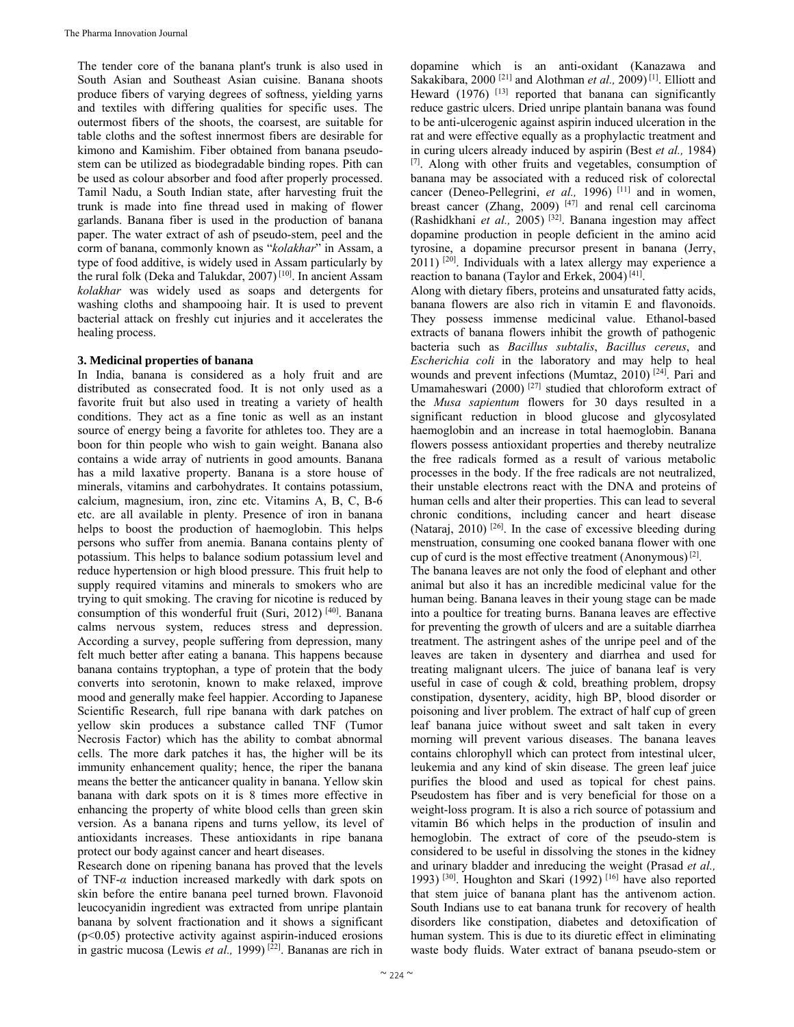The tender core of the banana plant's trunk is also used in South Asian and Southeast Asian cuisine. Banana shoots produce fibers of varying degrees of softness, yielding yarns and textiles with differing qualities for specific uses. The outermost fibers of the shoots, the coarsest, are suitable for table cloths and the softest innermost fibers are desirable for kimono and Kamishim. Fiber obtained from banana pseudostem can be utilized as biodegradable binding ropes. Pith can be used as colour absorber and food after properly processed. Tamil Nadu, a South Indian state, after harvesting fruit the trunk is made into fine thread used in making of flower garlands. Banana fiber is used in the production of banana paper. The water extract of ash of pseudo-stem, peel and the corm of banana, commonly known as "*kolakhar*" in Assam, a type of food additive, is widely used in Assam particularly by the rural folk (Deka and Talukdar, 2007) [10]. In ancient Assam *kolakhar* was widely used as soaps and detergents for washing cloths and shampooing hair. It is used to prevent bacterial attack on freshly cut injuries and it accelerates the healing process.

## **3. Medicinal properties of banana**

In India, banana is considered as a holy fruit and are distributed as consecrated food. It is not only used as a favorite fruit but also used in treating a variety of health conditions. They act as a fine tonic as well as an instant source of energy being a favorite for athletes too. They are a boon for thin people who wish to gain weight. Banana also contains a wide array of nutrients in good amounts. Banana has a mild laxative property. Banana is a store house of minerals, vitamins and carbohydrates. It contains potassium, calcium, magnesium, iron, zinc etc. Vitamins A, B, C, B-6 etc. are all available in plenty. Presence of iron in banana helps to boost the production of haemoglobin. This helps persons who suffer from anemia. Banana contains plenty of potassium. This helps to balance sodium potassium level and reduce hypertension or high blood pressure. This fruit help to supply required vitamins and minerals to smokers who are trying to quit smoking. The craving for nicotine is reduced by consumption of this wonderful fruit (Suri, 2012) [40]. Banana calms nervous system, reduces stress and depression. According a survey, people suffering from depression, many felt much better after eating a banana. This happens because banana contains tryptophan, a type of protein that the body converts into serotonin, known to make relaxed, improve mood and generally make feel happier. According to Japanese Scientific Research, full ripe banana with dark patches on yellow skin produces a substance called TNF (Tumor Necrosis Factor) which has the ability to combat abnormal cells. The more dark patches it has, the higher will be its immunity enhancement quality; hence, the riper the banana means the better the anticancer quality in banana. Yellow skin banana with dark spots on it is 8 times more effective in enhancing the property of white blood cells than green skin version. As a banana ripens and turns yellow, its level of antioxidants increases. These antioxidants in ripe banana protect our body against cancer and heart diseases.

Research done on ripening banana has proved that the levels of TNF-*α* induction increased markedly with dark spots on skin before the entire banana peel turned brown. Flavonoid leucocyanidin ingredient was extracted from unripe plantain banana by solvent fractionation and it shows a significant  $(p<0.05)$  protective activity against aspirin-induced erosions in gastric mucosa (Lewis *et al.*, 1999)<sup>[22]</sup>. Bananas are rich in

dopamine which is an anti-oxidant (Kanazawa and Sakakibara, 2000<sup>[21]</sup> and Alothman et al., 2009)<sup>[1]</sup>. Elliott and Heward  $(1976)$ <sup>[13]</sup> reported that banana can significantly reduce gastric ulcers. Dried unripe plantain banana was found to be anti-ulcerogenic against aspirin induced ulceration in the rat and were effective equally as a prophylactic treatment and in curing ulcers already induced by aspirin (Best *et al.,* 1984) [7]. Along with other fruits and vegetables, consumption of banana may be associated with a reduced risk of colorectal cancer (Deneo-Pellegrini, *et al.*, 1996)<sup>[11]</sup> and in women, breast cancer (Zhang, 2009)<sup>[47]</sup> and renal cell carcinoma (Rashidkhani et al., 2005)<sup>[32]</sup>. Banana ingestion may affect dopamine production in people deficient in the amino acid tyrosine, a dopamine precursor present in banana (Jerry,  $2011$ ) <sup>[20]</sup>. Individuals with a latex allergy may experience a reaction to banana (Taylor and Erkek, 2004) [41].

Along with dietary fibers, proteins and unsaturated fatty acids, banana flowers are also rich in vitamin E and flavonoids. They possess immense medicinal value. Ethanol-based extracts of banana flowers inhibit the growth of pathogenic bacteria such as *Bacillus subtalis*, *Bacillus cereus*, and *Escherichia coli* in the laboratory and may help to heal wounds and prevent infections (Mumtaz, 2010) [24]. Pari and Umamaheswari (2000)<sup>[27]</sup> studied that chloroform extract of the *Musa sapientum* flowers for 30 days resulted in a significant reduction in blood glucose and glycosylated haemoglobin and an increase in total haemoglobin. Banana flowers possess antioxidant properties and thereby neutralize the free radicals formed as a result of various metabolic processes in the body. If the free radicals are not neutralized, their unstable electrons react with the DNA and proteins of human cells and alter their properties. This can lead to several chronic conditions, including cancer and heart disease (Nataraj, 2010)<sup>[26]</sup>. In the case of excessive bleeding during menstruation, consuming one cooked banana flower with one cup of curd is the most effective treatment (Anonymous) $^{[2]}$ .

The banana leaves are not only the food of elephant and other animal but also it has an incredible medicinal value for the human being. Banana leaves in their young stage can be made into a poultice for treating burns. Banana leaves are effective for preventing the growth of ulcers and are a suitable diarrhea treatment. The astringent ashes of the unripe peel and of the leaves are taken in dysentery and diarrhea and used for treating malignant ulcers. The juice of banana leaf is very useful in case of cough & cold, breathing problem, dropsy constipation, dysentery, acidity, high BP, blood disorder or poisoning and liver problem. The extract of half cup of green leaf banana juice without sweet and salt taken in every morning will prevent various diseases. The banana leaves contains chlorophyll which can protect from intestinal ulcer, leukemia and any kind of skin disease. The green leaf juice purifies the blood and used as topical for chest pains. Pseudostem has fiber and is very beneficial for those on a weight-loss program. It is also a rich source of potassium and vitamin B6 which helps in the production of insulin and hemoglobin. The extract of core of the pseudo-stem is considered to be useful in dissolving the stones in the kidney and urinary bladder and inreducing the weight (Prasad *et al.,* 1993) [30]. Houghton and Skari (1992) [16] have also reported that stem juice of banana plant has the antivenom action. South Indians use to eat banana trunk for recovery of health disorders like constipation, diabetes and detoxification of human system. This is due to its diuretic effect in eliminating waste body fluids. Water extract of banana pseudo-stem or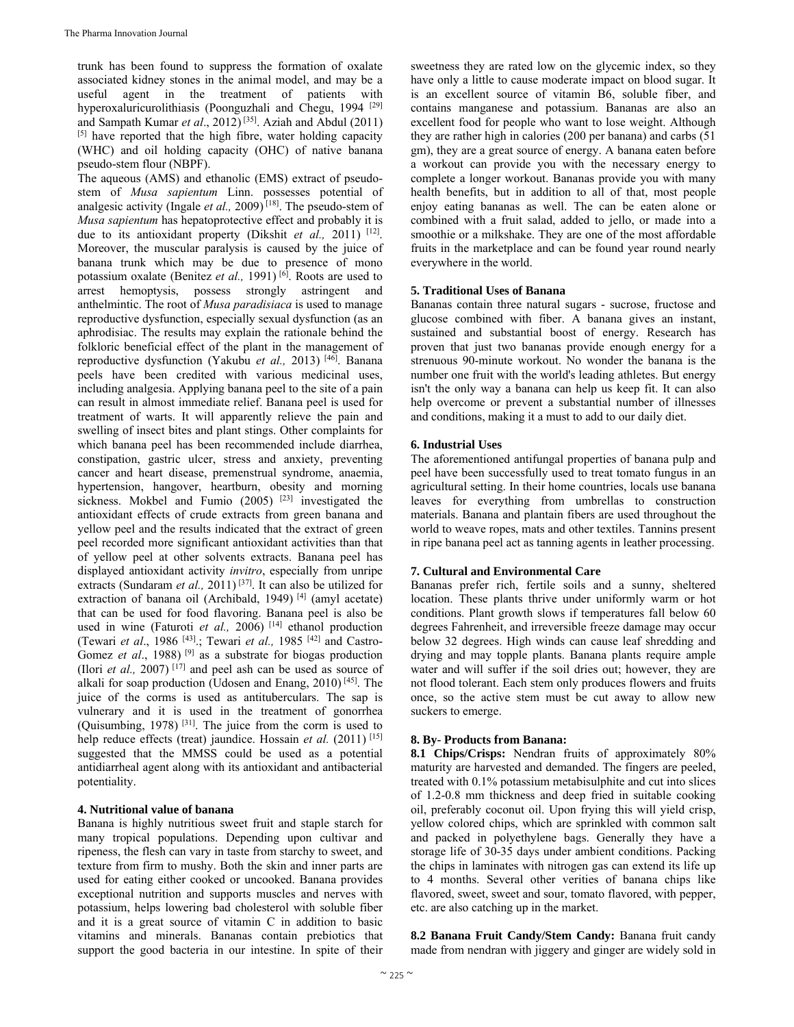trunk has been found to suppress the formation of oxalate associated kidney stones in the animal model, and may be a useful agent in the treatment of patients with hyperoxaluricurolithiasis (Poonguzhali and Chegu, 1994 <sup>[29]</sup> and Sampath Kumar *et al*., 2012) [35]. Aziah and Abdul (2011) [5] have reported that the high fibre, water holding capacity (WHC) and oil holding capacity (OHC) of native banana pseudo-stem flour (NBPF).

The aqueous (AMS) and ethanolic (EMS) extract of pseudostem of *Musa sapientum* Linn. possesses potential of analgesic activity (Ingale *et al.,* 2009) [18]. The pseudo-stem of *Musa sapientum* has hepatoprotective effect and probably it is due to its antioxidant property (Dikshit *et al.*, 2011)<sup>[12]</sup>. Moreover, the muscular paralysis is caused by the juice of banana trunk which may be due to presence of mono potassium oxalate (Benitez *et al.*, 1991)<sup>[6]</sup>. Roots are used to arrest hemoptysis, possess strongly astringent and anthelmintic. The root of *Musa paradisiaca* is used to manage reproductive dysfunction, especially sexual dysfunction (as an aphrodisiac. The results may explain the rationale behind the folkloric beneficial effect of the plant in the management of reproductive dysfunction (Yakubu et al., 2013) [46]. Banana peels have been credited with various medicinal uses, including analgesia. Applying banana peel to the site of a pain can result in almost immediate relief. Banana peel is used for treatment of warts. It will apparently relieve the pain and swelling of insect bites and plant stings. Other complaints for which banana peel has been recommended include diarrhea, constipation, gastric ulcer, stress and anxiety, preventing cancer and heart disease, premenstrual syndrome, anaemia, hypertension, hangover, heartburn, obesity and morning sickness. Mokbel and Fumio (2005)<sup>[23]</sup> investigated the antioxidant effects of crude extracts from green banana and yellow peel and the results indicated that the extract of green peel recorded more significant antioxidant activities than that of yellow peel at other solvents extracts. Banana peel has displayed antioxidant activity *invitro*, especially from unripe extracts (Sundaram *et al.*, 2011)<sup>[37]</sup>. It can also be utilized for extraction of banana oil (Archibald, 1949)<sup>[4]</sup> (amyl acetate) that can be used for food flavoring. Banana peel is also be used in wine (Faturoti et al., 2006)<sup>[14]</sup> ethanol production (Tewari *et al*., 1986 [43].; Tewari *et al.,* 1985 [42] and Castro-Gomez *et al.*, 1988)<sup>[9]</sup> as a substrate for biogas production (Ilori *et al.*, 2007)  $[17]$  and peel ash can be used as source of alkali for soap production (Udosen and Enang, 2010) [45]. The juice of the corms is used as antituberculars. The sap is vulnerary and it is used in the treatment of gonorrhea (Quisumbing, 1978)  $[31]$ . The juice from the corm is used to help reduce effects (treat) jaundice. Hossain *et al.* (2011)<sup>[15]</sup> suggested that the MMSS could be used as a potential antidiarrheal agent along with its antioxidant and antibacterial potentiality.

## **4. Nutritional value of banana**

Banana is highly nutritious sweet fruit and staple starch for many tropical populations. Depending upon cultivar and ripeness, the flesh can vary in taste from starchy to sweet, and texture from firm to mushy. Both the skin and inner parts are used for eating either cooked or uncooked. Banana provides exceptional nutrition and supports muscles and nerves with potassium, helps lowering bad cholesterol with soluble fiber and it is a great source of vitamin C in addition to basic vitamins and minerals. Bananas contain prebiotics that support the good bacteria in our intestine. In spite of their

sweetness they are rated low on the glycemic index, so they have only a little to cause moderate impact on blood sugar. It is an excellent source of vitamin B6, soluble fiber, and contains manganese and potassium. Bananas are also an excellent food for people who want to lose weight. Although they are rather high in calories (200 per banana) and carbs (51 gm), they are a great source of energy. A banana eaten before a workout can provide you with the necessary energy to complete a longer workout. Bananas provide you with many health benefits, but in addition to all of that, most people enjoy eating bananas as well. The can be eaten alone or combined with a fruit salad, added to jello, or made into a smoothie or a milkshake. They are one of the most affordable fruits in the marketplace and can be found year round nearly everywhere in the world.

### **5. Traditional Uses of Banana**

Bananas contain three natural sugars - sucrose, fructose and glucose combined with fiber. A banana gives an instant, sustained and substantial boost of energy. Research has proven that just two bananas provide enough energy for a strenuous 90-minute workout. No wonder the banana is the number one fruit with the world's leading athletes. But energy isn't the only way a banana can help us keep fit. It can also help overcome or prevent a substantial number of illnesses and conditions, making it a must to add to our daily diet.

### **6. Industrial Uses**

The aforementioned antifungal properties of banana pulp and peel have been successfully used to treat tomato fungus in an agricultural setting. In their home countries, locals use banana leaves for everything from umbrellas to construction materials. Banana and plantain fibers are used throughout the world to weave ropes, mats and other textiles. Tannins present in ripe banana peel act as tanning agents in leather processing.

#### **7. Cultural and Environmental Care**

Bananas prefer rich, fertile soils and a sunny, sheltered location. These plants thrive under uniformly warm or hot conditions. Plant growth slows if temperatures fall below 60 degrees Fahrenheit, and irreversible freeze damage may occur below 32 degrees. High winds can cause leaf shredding and drying and may topple plants. Banana plants require ample water and will suffer if the soil dries out; however, they are not flood tolerant. Each stem only produces flowers and fruits once, so the active stem must be cut away to allow new suckers to emerge.

#### **8. By- Products from Banana:**

**8.1 Chips/Crisps:** Nendran fruits of approximately 80% maturity are harvested and demanded. The fingers are peeled, treated with 0.1% potassium metabisulphite and cut into slices of 1.2-0.8 mm thickness and deep fried in suitable cooking oil, preferably coconut oil. Upon frying this will yield crisp, yellow colored chips, which are sprinkled with common salt and packed in polyethylene bags. Generally they have a storage life of 30-35 days under ambient conditions. Packing the chips in laminates with nitrogen gas can extend its life up to 4 months. Several other verities of banana chips like flavored, sweet, sweet and sour, tomato flavored, with pepper, etc. are also catching up in the market.

**8.2 Banana Fruit Candy/Stem Candy:** Banana fruit candy made from nendran with jiggery and ginger are widely sold in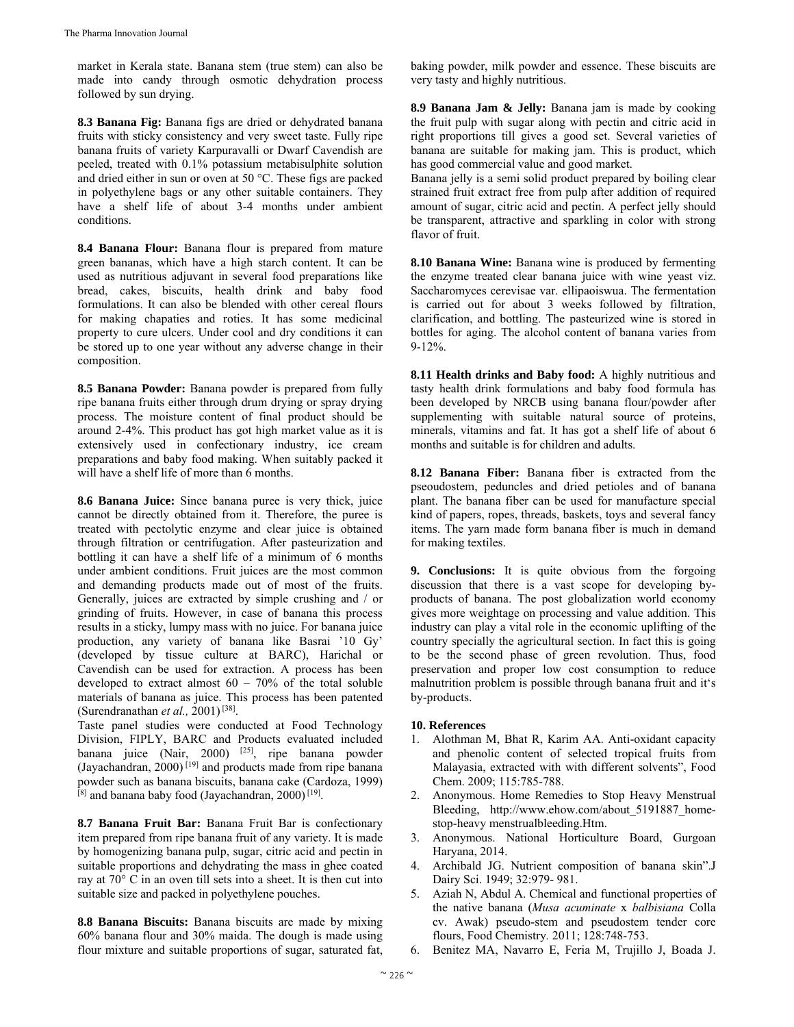market in Kerala state. Banana stem (true stem) can also be made into candy through osmotic dehydration process followed by sun drying.

**8.3 Banana Fig:** Banana figs are dried or dehydrated banana fruits with sticky consistency and very sweet taste. Fully ripe banana fruits of variety Karpuravalli or Dwarf Cavendish are peeled, treated with 0.1% potassium metabisulphite solution and dried either in sun or oven at 50 °C. These figs are packed in polyethylene bags or any other suitable containers. They have a shelf life of about 3-4 months under ambient conditions.

**8.4 Banana Flour:** Banana flour is prepared from mature green bananas, which have a high starch content. It can be used as nutritious adjuvant in several food preparations like bread, cakes, biscuits, health drink and baby food formulations. It can also be blended with other cereal flours for making chapaties and roties. It has some medicinal property to cure ulcers. Under cool and dry conditions it can be stored up to one year without any adverse change in their composition.

**8.5 Banana Powder:** Banana powder is prepared from fully ripe banana fruits either through drum drying or spray drying process. The moisture content of final product should be around 2-4%. This product has got high market value as it is extensively used in confectionary industry, ice cream preparations and baby food making. When suitably packed it will have a shelf life of more than 6 months.

**8.6 Banana Juice:** Since banana puree is very thick, juice cannot be directly obtained from it. Therefore, the puree is treated with pectolytic enzyme and clear juice is obtained through filtration or centrifugation. After pasteurization and bottling it can have a shelf life of a minimum of 6 months under ambient conditions. Fruit juices are the most common and demanding products made out of most of the fruits. Generally, juices are extracted by simple crushing and / or grinding of fruits. However, in case of banana this process results in a sticky, lumpy mass with no juice. For banana juice production, any variety of banana like Basrai '10 Gy' (developed by tissue culture at BARC), Harichal or Cavendish can be used for extraction. A process has been developed to extract almost  $60 - 70\%$  of the total soluble materials of banana as juice. This process has been patented (Surendranathan *et al.,* 2001) [38].

Taste panel studies were conducted at Food Technology Division, FIPLY, BARC and Products evaluated included banana juice (Nair, 2000) <sup>[25]</sup>, ripe banana powder (Jayachandran, 2000) [19] and products made from ripe banana powder such as banana biscuits, banana cake (Cardoza, 1999)  $^{[8]}$  and banana baby food (Jayachandran, 2000)<sup>[19]</sup>.

**8.7 Banana Fruit Bar:** Banana Fruit Bar is confectionary item prepared from ripe banana fruit of any variety. It is made by homogenizing banana pulp, sugar, citric acid and pectin in suitable proportions and dehydrating the mass in ghee coated ray at 70° C in an oven till sets into a sheet. It is then cut into suitable size and packed in polyethylene pouches.

**8.8 Banana Biscuits:** Banana biscuits are made by mixing 60% banana flour and 30% maida. The dough is made using flour mixture and suitable proportions of sugar, saturated fat,

baking powder, milk powder and essence. These biscuits are very tasty and highly nutritious.

**8.9 Banana Jam & Jelly:** Banana jam is made by cooking the fruit pulp with sugar along with pectin and citric acid in right proportions till gives a good set. Several varieties of banana are suitable for making jam. This is product, which has good commercial value and good market.

Banana jelly is a semi solid product prepared by boiling clear strained fruit extract free from pulp after addition of required amount of sugar, citric acid and pectin. A perfect jelly should be transparent, attractive and sparkling in color with strong flavor of fruit.

**8.10 Banana Wine:** Banana wine is produced by fermenting the enzyme treated clear banana juice with wine yeast viz. Saccharomyces cerevisae var. ellipaoiswua. The fermentation is carried out for about 3 weeks followed by filtration, clarification, and bottling. The pasteurized wine is stored in bottles for aging. The alcohol content of banana varies from 9-12%.

**8.11 Health drinks and Baby food:** A highly nutritious and tasty health drink formulations and baby food formula has been developed by NRCB using banana flour/powder after supplementing with suitable natural source of proteins, minerals, vitamins and fat. It has got a shelf life of about 6 months and suitable is for children and adults.

**8.12 Banana Fiber:** Banana fiber is extracted from the pseoudostem, peduncles and dried petioles and of banana plant. The banana fiber can be used for manufacture special kind of papers, ropes, threads, baskets, toys and several fancy items. The yarn made form banana fiber is much in demand for making textiles.

**9. Conclusions:** It is quite obvious from the forgoing discussion that there is a vast scope for developing byproducts of banana. The post globalization world economy gives more weightage on processing and value addition. This industry can play a vital role in the economic uplifting of the country specially the agricultural section. In fact this is going to be the second phase of green revolution. Thus, food preservation and proper low cost consumption to reduce malnutrition problem is possible through banana fruit and it's by-products.

## **10. References**

- 1. Alothman M, Bhat R, Karim AA. Anti-oxidant capacity and phenolic content of selected tropical fruits from Malayasia, extracted with with different solvents", Food Chem. 2009; 115:785-788.
- 2. Anonymous. Home Remedies to Stop Heavy Menstrual Bleeding, http://www.ehow.com/about\_5191887\_homestop-heavy menstrualbleeding.Htm.
- 3. Anonymous. National Horticulture Board, Gurgoan Haryana, 2014.
- 4. Archibald JG. Nutrient composition of banana skin".J Dairy Sci. 1949; 32:979- 981.
- 5. Aziah N, Abdul A. Chemical and functional properties of the native banana (*Musa acuminate* x *balbisiana* Colla cv. Awak) pseudo-stem and pseudostem tender core flours, Food Chemistry*.* 2011; 128:748-753.
- 6. Benitez MA, Navarro E, Feria M, Trujillo J, Boada J.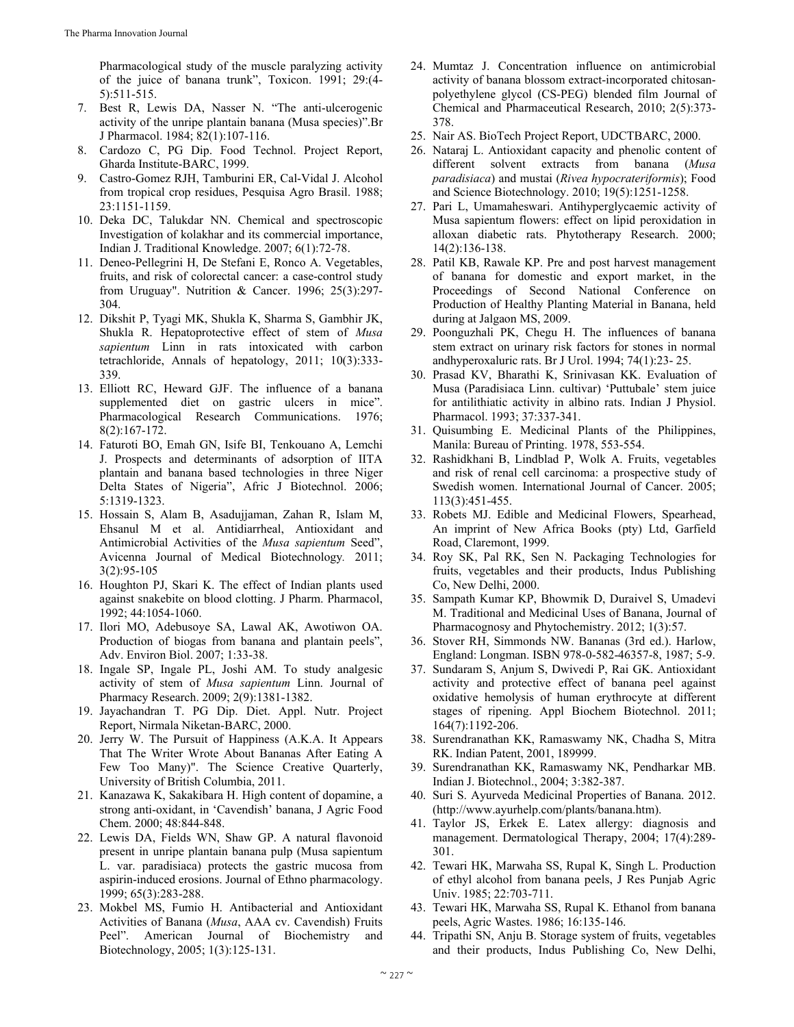Pharmacological study of the muscle paralyzing activity of the juice of banana trunk", Toxicon. 1991; 29:(4- 5):511-515.

- 7. Best R, Lewis DA, Nasser N. "The anti-ulcerogenic activity of the unripe plantain banana (Musa species)".Br J Pharmacol. 1984; 82(1):107-116.
- 8. Cardozo C, PG Dip. Food Technol. Project Report, Gharda Institute-BARC, 1999.
- 9. Castro-Gomez RJH, Tamburini ER, Cal-Vidal J. Alcohol from tropical crop residues, Pesquisa Agro Brasil. 1988; 23:1151-1159.
- 10. Deka DC, Talukdar NN. Chemical and spectroscopic Investigation of kolakhar and its commercial importance, Indian J. Traditional Knowledge. 2007; 6(1):72-78.
- 11. Deneo-Pellegrini H, De Stefani E, Ronco A. Vegetables, fruits, and risk of colorectal cancer: a case-control study from Uruguay". Nutrition & Cancer. 1996; 25(3):297- 304.
- 12. Dikshit P, Tyagi MK, Shukla K, Sharma S, Gambhir JK, Shukla R. Hepatoprotective effect of stem of *Musa sapientum* Linn in rats intoxicated with carbon tetrachloride, Annals of hepatology, 2011; 10(3):333- 339.
- 13. Elliott RC, Heward GJF. The influence of a banana supplemented diet on gastric ulcers in mice". Pharmacological Research Communications. 1976; 8(2):167-172.
- 14. Faturoti BO, Emah GN, Isife BI, Tenkouano A, Lemchi J. Prospects and determinants of adsorption of IITA plantain and banana based technologies in three Niger Delta States of Nigeria", Afric J Biotechnol. 2006; 5:1319-1323.
- 15. Hossain S, Alam B, Asadujjaman, Zahan R, Islam M, Ehsanul M et al. Antidiarrheal, Antioxidant and Antimicrobial Activities of the *Musa sapientum* Seed", Avicenna Journal of Medical Biotechnology*.* 2011; 3(2):95-105
- 16. Houghton PJ, Skari K. The effect of Indian plants used against snakebite on blood clotting. J Pharm. Pharmacol, 1992; 44:1054-1060.
- 17. Ilori MO, Adebusoye SA, Lawal AK, Awotiwon OA. Production of biogas from banana and plantain peels", Adv. Environ Biol. 2007; 1:33-38.
- 18. Ingale SP, Ingale PL, Joshi AM. To study analgesic activity of stem of *Musa sapientum* Linn. Journal of Pharmacy Research. 2009; 2(9):1381-1382.
- 19. Jayachandran T. PG Dip. Diet. Appl. Nutr. Project Report, Nirmala Niketan-BARC, 2000.
- 20. Jerry W. The Pursuit of Happiness (A.K.A. It Appears That The Writer Wrote About Bananas After Eating A Few Too Many)". The Science Creative Quarterly, University of British Columbia, 2011.
- 21. Kanazawa K, Sakakibara H. High content of dopamine, a strong anti-oxidant, in 'Cavendish' banana, J Agric Food Chem. 2000; 48:844-848.
- 22. Lewis DA, Fields WN, Shaw GP. A natural flavonoid present in unripe plantain banana pulp (Musa sapientum L. var. paradisiaca) protects the gastric mucosa from aspirin-induced erosions. Journal of Ethno pharmacology. 1999; 65(3):283-288.
- 23. Mokbel MS, Fumio H. Antibacterial and Antioxidant Activities of Banana (*Musa*, AAA cv. Cavendish) Fruits Peel". American Journal of Biochemistry and Biotechnology, 2005; 1(3):125-131.
- 24. Mumtaz J. Concentration influence on antimicrobial activity of banana blossom extract-incorporated chitosanpolyethylene glycol (CS-PEG) blended film Journal of Chemical and Pharmaceutical Research, 2010; 2(5):373- 378.
- 25. Nair AS. BioTech Project Report, UDCTBARC, 2000.
- 26. Nataraj L. Antioxidant capacity and phenolic content of different solvent extracts from banana (*Musa paradisiaca*) and mustai (*Rivea hypocrateriformis*); Food and Science Biotechnology. 2010; 19(5):1251-1258.
- 27. Pari L, Umamaheswari. Antihyperglycaemic activity of Musa sapientum flowers: effect on lipid peroxidation in alloxan diabetic rats. Phytotherapy Research. 2000; 14(2):136-138.
- 28. Patil KB, Rawale KP. Pre and post harvest management of banana for domestic and export market, in the Proceedings of Second National Conference on Production of Healthy Planting Material in Banana, held during at Jalgaon MS, 2009.
- 29. Poonguzhali PK, Chegu H. The influences of banana stem extract on urinary risk factors for stones in normal andhyperoxaluric rats. Br J Urol. 1994; 74(1):23- 25.
- 30. Prasad KV, Bharathi K, Srinivasan KK. Evaluation of Musa (Paradisiaca Linn. cultivar) 'Puttubale' stem juice for antilithiatic activity in albino rats. Indian J Physiol. Pharmacol. 1993; 37:337-341.
- 31. Quisumbing E. Medicinal Plants of the Philippines, Manila: Bureau of Printing. 1978, 553-554.
- 32. Rashidkhani B, Lindblad P, Wolk A. Fruits, vegetables and risk of renal cell carcinoma: a prospective study of Swedish women. International Journal of Cancer. 2005; 113(3):451-455.
- 33. Robets MJ. Edible and Medicinal Flowers, Spearhead, An imprint of New Africa Books (pty) Ltd, Garfield Road, Claremont, 1999.
- 34. Roy SK, Pal RK, Sen N. Packaging Technologies for fruits, vegetables and their products, Indus Publishing Co, New Delhi, 2000.
- 35. Sampath Kumar KP, Bhowmik D, Duraivel S, Umadevi M. Traditional and Medicinal Uses of Banana, Journal of Pharmacognosy and Phytochemistry. 2012; 1(3):57.
- 36. Stover RH, Simmonds NW. Bananas (3rd ed.). Harlow, England: Longman. ISBN 978-0-582-46357-8, 1987; 5-9.
- 37. Sundaram S, Anjum S, Dwivedi P, Rai GK. Antioxidant activity and protective effect of banana peel against oxidative hemolysis of human erythrocyte at different stages of ripening. Appl Biochem Biotechnol. 2011; 164(7):1192-206.
- 38. Surendranathan KK, Ramaswamy NK, Chadha S, Mitra RK. Indian Patent, 2001, 189999.
- 39. Surendranathan KK, Ramaswamy NK, Pendharkar MB. Indian J. Biotechnol., 2004; 3:382-387.
- 40. Suri S. Ayurveda Medicinal Properties of Banana. 2012. (http://www.ayurhelp.com/plants/banana.htm).
- 41. Taylor JS, Erkek E. Latex allergy: diagnosis and management. Dermatological Therapy, 2004; 17(4):289- 301.
- 42. Tewari HK, Marwaha SS, Rupal K, Singh L. Production of ethyl alcohol from banana peels, J Res Punjab Agric Univ. 1985; 22:703-711.
- 43. Tewari HK, Marwaha SS, Rupal K. Ethanol from banana peels, Agric Wastes. 1986; 16:135-146.
- 44. Tripathi SN, Anju B. Storage system of fruits, vegetables and their products, Indus Publishing Co, New Delhi,